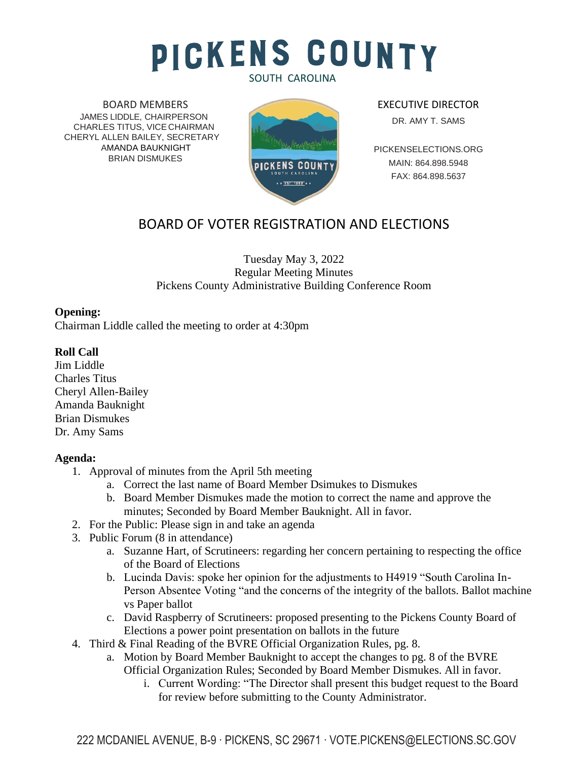# **PICKENS COUNTY** SOUTH CAROLINA

BOARD MEMBERS JAMES LIDDLE, CHAIRPERSON CHARLES TITUS, VICE CHAIRMAN CHERYL ALLEN BAILEY, SECRETARY AMANDA BAUKNIGHT BRIAN DISMUKES



EXECUTIVE DIRECTOR DR. AMY T. SAMS

PICKENSELECTIONS.ORG MAIN: 864.898.5948 FAX: 864.898.5637

# BOARD OF VOTER REGISTRATION AND ELECTIONS

#### Tuesday May 3, 2022 Regular Meeting Minutes Pickens County Administrative Building Conference Room

### **Opening:**

Chairman Liddle called the meeting to order at 4:30pm

### **Roll Call**

Jim Liddle Charles Titus Cheryl Allen-Bailey Amanda Bauknight Brian Dismukes Dr. Amy Sams

#### **Agenda:**

- 1. Approval of minutes from the April 5th meeting
	- a. Correct the last name of Board Member Dsimukes to Dismukes
	- b. Board Member Dismukes made the motion to correct the name and approve the minutes; Seconded by Board Member Bauknight. All in favor.
- 2. For the Public: Please sign in and take an agenda
- 3. Public Forum (8 in attendance)
	- a. Suzanne Hart, of Scrutineers: regarding her concern pertaining to respecting the office of the Board of Elections
	- b. Lucinda Davis: spoke her opinion for the adjustments to H4919 "South Carolina In-Person Absentee Voting "and the concerns of the integrity of the ballots. Ballot machine vs Paper ballot
	- c. David Raspberry of Scrutineers: proposed presenting to the Pickens County Board of Elections a power point presentation on ballots in the future
- 4. Third & Final Reading of the BVRE Official Organization Rules, pg. 8.
	- a. Motion by Board Member Bauknight to accept the changes to pg. 8 of the BVRE Official Organization Rules; Seconded by Board Member Dismukes. All in favor.
		- i. Current Wording: "The Director shall present this budget request to the Board for review before submitting to the County Administrator.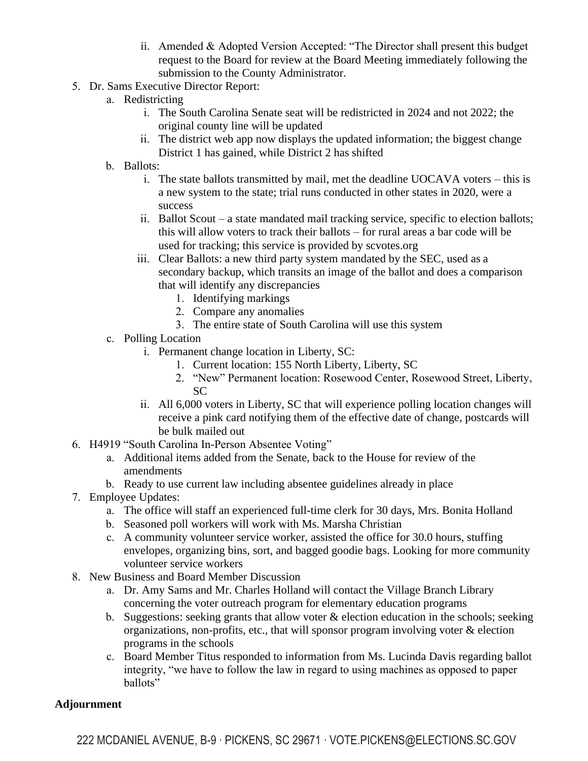- ii. Amended & Adopted Version Accepted: "The Director shall present this budget request to the Board for review at the Board Meeting immediately following the submission to the County Administrator.
- 5. Dr. Sams Executive Director Report:
	- a. Redistricting
		- i. The South Carolina Senate seat will be redistricted in 2024 and not 2022; the original county line will be updated
		- ii. The district web app now displays the updated information; the biggest change District 1 has gained, while District 2 has shifted
	- b. Ballots:
		- i. The state ballots transmitted by mail, met the deadline UOCAVA voters this is a new system to the state; trial runs conducted in other states in 2020, were a success
		- ii. Ballot Scout a state mandated mail tracking service, specific to election ballots; this will allow voters to track their ballots – for rural areas a bar code will be used for tracking; this service is provided by scvotes.org
		- iii. Clear Ballots: a new third party system mandated by the SEC, used as a secondary backup, which transits an image of the ballot and does a comparison that will identify any discrepancies
			- 1. Identifying markings
			- 2. Compare any anomalies
			- 3. The entire state of South Carolina will use this system
	- c. Polling Location
		- i. Permanent change location in Liberty, SC:
			- 1. Current location: 155 North Liberty, Liberty, SC
			- 2. "New" Permanent location: Rosewood Center, Rosewood Street, Liberty, SC
		- ii. All 6,000 voters in Liberty, SC that will experience polling location changes will receive a pink card notifying them of the effective date of change, postcards will be bulk mailed out
- 6. H4919 "South Carolina In-Person Absentee Voting"
	- a. Additional items added from the Senate, back to the House for review of the amendments
	- b. Ready to use current law including absentee guidelines already in place
- 7. Employee Updates:
	- a. The office will staff an experienced full-time clerk for 30 days, Mrs. Bonita Holland
	- b. Seasoned poll workers will work with Ms. Marsha Christian
	- c. A community volunteer service worker, assisted the office for 30.0 hours, stuffing envelopes, organizing bins, sort, and bagged goodie bags. Looking for more community volunteer service workers
- 8. New Business and Board Member Discussion
	- a. Dr. Amy Sams and Mr. Charles Holland will contact the Village Branch Library concerning the voter outreach program for elementary education programs
	- b. Suggestions: seeking grants that allow voter & election education in the schools; seeking organizations, non-profits, etc., that will sponsor program involving voter  $\&$  election programs in the schools
	- c. Board Member Titus responded to information from Ms. Lucinda Davis regarding ballot integrity, "we have to follow the law in regard to using machines as opposed to paper ballots"

## **Adjournment**